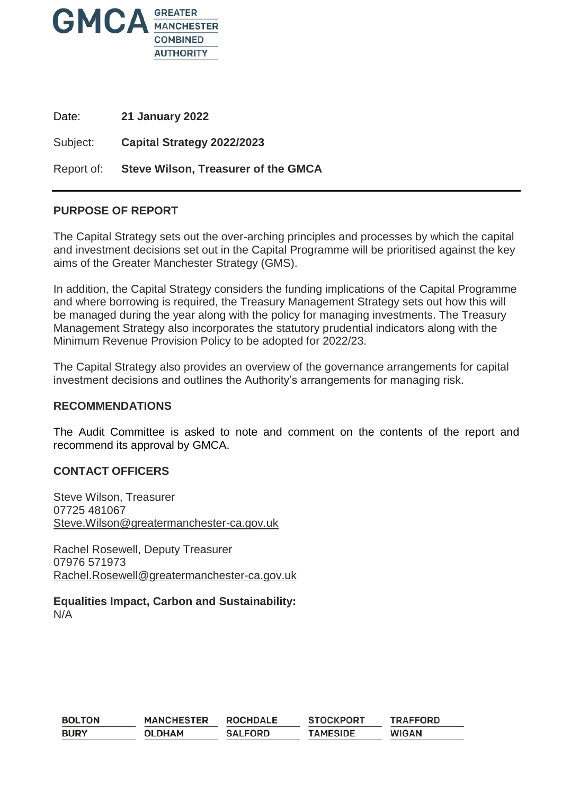

Date: **21 January 2022**

Subject: **Capital Strategy 2022/2023**

Report of: **Steve Wilson, Treasurer of the GMCA**

### **PURPOSE OF REPORT**

The Capital Strategy sets out the over-arching principles and processes by which the capital and investment decisions set out in the Capital Programme will be prioritised against the key aims of the Greater Manchester Strategy (GMS).

In addition, the Capital Strategy considers the funding implications of the Capital Programme and where borrowing is required, the Treasury Management Strategy sets out how this will be managed during the year along with the policy for managing investments. The Treasury Management Strategy also incorporates the statutory prudential indicators along with the Minimum Revenue Provision Policy to be adopted for 2022/23.

The Capital Strategy also provides an overview of the governance arrangements for capital investment decisions and outlines the Authority's arrangements for managing risk.

#### **RECOMMENDATIONS**

The Audit Committee is asked to note and comment on the contents of the report and recommend its approval by GMCA.

### **CONTACT OFFICERS**

Steve Wilson, Treasurer 07725 481067 [Steve.Wilson@greatermanchester-ca.gov.uk](mailto:Steve.Wilson@greatermanchester-ca.gov.uk)

Rachel Rosewell, Deputy Treasurer 07976 571973 [Rachel.Rosewell@greatermanchester-ca.gov.uk](mailto:Rachel.Rosewell@greatermanchester-ca.gov.uk)

**Equalities Impact, Carbon and Sustainability:** N/A

| <b>BOLTON</b> | <b>MANCHESTER</b> | <b>ROCHDALE</b> | <b>STOCKPORT</b> | <b>TRAFFORD</b> |
|---------------|-------------------|-----------------|------------------|-----------------|
| <b>BURY</b>   | <b>OLDHAM</b>     | <b>SALFORD</b>  | <b>TAMESIDE</b>  | <b>WIGAN</b>    |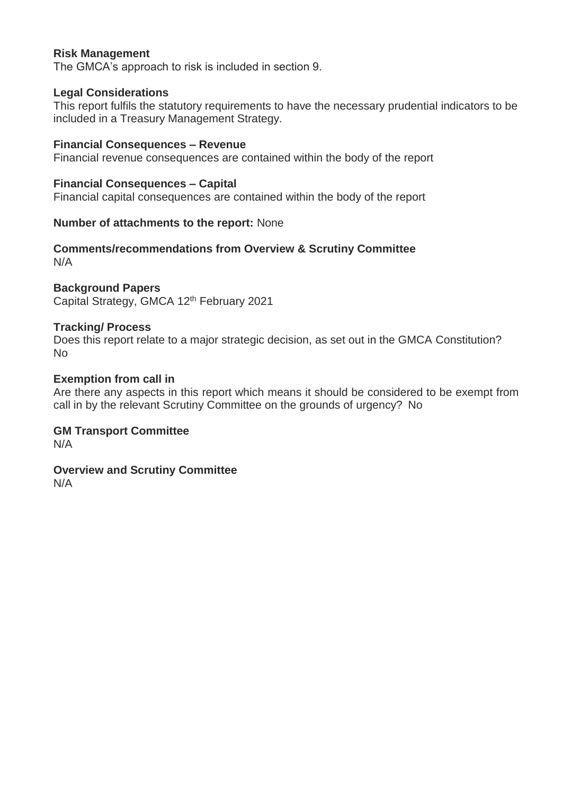# **Risk Management**

The GMCA's approach to risk is included in section 9.

### **Legal Considerations**

This report fulfils the statutory requirements to have the necessary prudential indicators to be included in a Treasury Management Strategy.

### **Financial Consequences – Revenue**

Financial revenue consequences are contained within the body of the report

### **Financial Consequences – Capital**

Financial capital consequences are contained within the body of the report

### **Number of attachments to the report:** None

#### **Comments/recommendations from Overview & Scrutiny Committee**  N/A

### **Background Papers**

Capital Strategy, GMCA 12th February 2021

### **Tracking/ Process**

Does this report relate to a major strategic decision, as set out in the GMCA Constitution? No

### **Exemption from call in**

Are there any aspects in this report which means it should be considered to be exempt from call in by the relevant Scrutiny Committee on the grounds of urgency? No

### **GM Transport Committee**

N/A

# **Overview and Scrutiny Committee**

N/A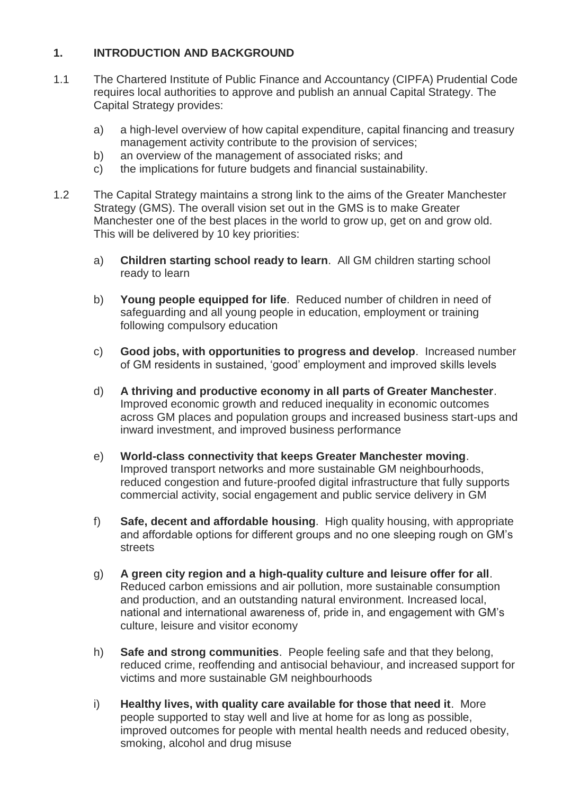# **1. INTRODUCTION AND BACKGROUND**

- 1.1 The Chartered Institute of Public Finance and Accountancy (CIPFA) Prudential Code requires local authorities to approve and publish an annual Capital Strategy. The Capital Strategy provides:
	- a) a high-level overview of how capital expenditure, capital financing and treasury management activity contribute to the provision of services;
	- b) an overview of the management of associated risks; and
	- c) the implications for future budgets and financial sustainability.
- 1.2 The Capital Strategy maintains a strong link to the aims of the Greater Manchester Strategy (GMS). The overall vision set out in the GMS is to make Greater Manchester one of the best places in the world to grow up, get on and grow old. This will be delivered by 10 key priorities:
	- a) **Children starting school ready to learn**. All GM children starting school ready to learn
	- b) **Young people equipped for life**. Reduced number of children in need of safeguarding and all young people in education, employment or training following compulsory education
	- c) **Good jobs, with opportunities to progress and develop**. Increased number of GM residents in sustained, 'good' employment and improved skills levels
	- d) **A thriving and productive economy in all parts of Greater Manchester**. Improved economic growth and reduced inequality in economic outcomes across GM places and population groups and increased business start-ups and inward investment, and improved business performance
	- e) **World-class connectivity that keeps Greater Manchester moving**. Improved transport networks and more sustainable GM neighbourhoods, reduced congestion and future-proofed digital infrastructure that fully supports commercial activity, social engagement and public service delivery in GM
	- f) **Safe, decent and affordable housing**. High quality housing, with appropriate and affordable options for different groups and no one sleeping rough on GM's streets
	- g) **A green city region and a high-quality culture and leisure offer for all**. Reduced carbon emissions and air pollution, more sustainable consumption and production, and an outstanding natural environment. Increased local, national and international awareness of, pride in, and engagement with GM's culture, leisure and visitor economy
	- h) **Safe and strong communities**. People feeling safe and that they belong, reduced crime, reoffending and antisocial behaviour, and increased support for victims and more sustainable GM neighbourhoods
	- i) **Healthy lives, with quality care available for those that need it**. More people supported to stay well and live at home for as long as possible, improved outcomes for people with mental health needs and reduced obesity, smoking, alcohol and drug misuse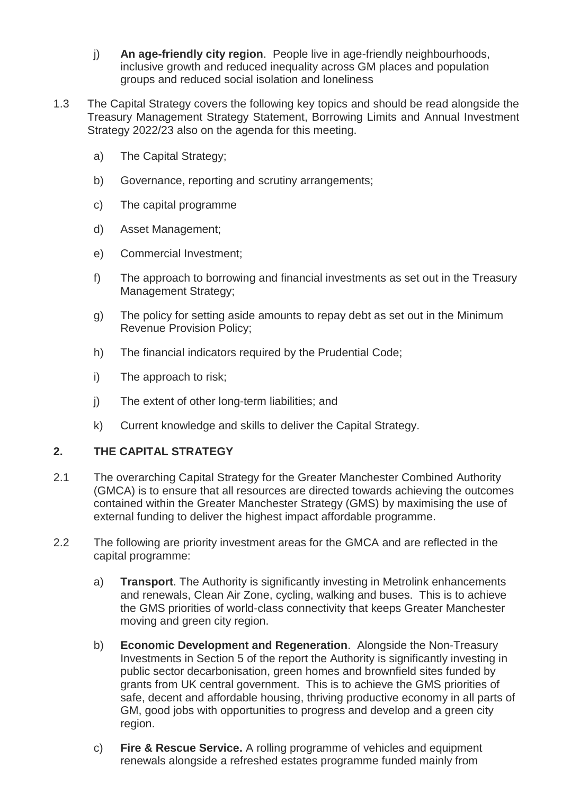- j) **An age-friendly city region**. People live in age-friendly neighbourhoods, inclusive growth and reduced inequality across GM places and population groups and reduced social isolation and loneliness
- 1.3 The Capital Strategy covers the following key topics and should be read alongside the Treasury Management Strategy Statement, Borrowing Limits and Annual Investment Strategy 2022/23 also on the agenda for this meeting.
	- a) The Capital Strategy;
	- b) Governance, reporting and scrutiny arrangements;
	- c) The capital programme
	- d) Asset Management;
	- e) Commercial Investment;
	- f) The approach to borrowing and financial investments as set out in the Treasury Management Strategy;
	- g) The policy for setting aside amounts to repay debt as set out in the Minimum Revenue Provision Policy;
	- h) The financial indicators required by the Prudential Code;
	- i) The approach to risk;
	- j) The extent of other long-term liabilities; and
	- k) Current knowledge and skills to deliver the Capital Strategy.

# **2. THE CAPITAL STRATEGY**

- 2.1 The overarching Capital Strategy for the Greater Manchester Combined Authority (GMCA) is to ensure that all resources are directed towards achieving the outcomes contained within the Greater Manchester Strategy (GMS) by maximising the use of external funding to deliver the highest impact affordable programme.
- 2.2 The following are priority investment areas for the GMCA and are reflected in the capital programme:
	- a) **Transport**. The Authority is significantly investing in Metrolink enhancements and renewals, Clean Air Zone, cycling, walking and buses. This is to achieve the GMS priorities of world-class connectivity that keeps Greater Manchester moving and green city region.
	- b) **Economic Development and Regeneration**. Alongside the Non-Treasury Investments in Section 5 of the report the Authority is significantly investing in public sector decarbonisation, green homes and brownfield sites funded by grants from UK central government. This is to achieve the GMS priorities of safe, decent and affordable housing, thriving productive economy in all parts of GM, good jobs with opportunities to progress and develop and a green city region.
	- c) **Fire & Rescue Service.** A rolling programme of vehicles and equipment renewals alongside a refreshed estates programme funded mainly from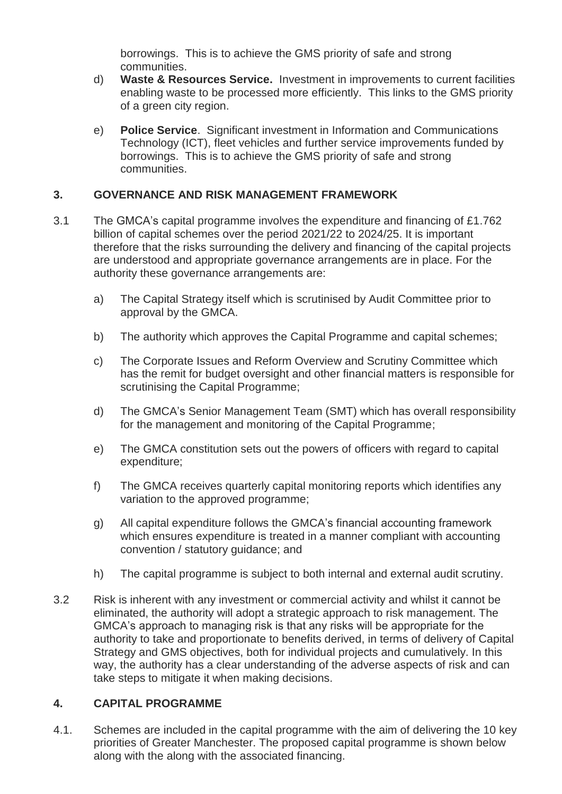borrowings. This is to achieve the GMS priority of safe and strong communities.

- d) **Waste & Resources Service.** Investment in improvements to current facilities enabling waste to be processed more efficiently. This links to the GMS priority of a green city region.
- e) **Police Service**. Significant investment in Information and Communications Technology (ICT), fleet vehicles and further service improvements funded by borrowings. This is to achieve the GMS priority of safe and strong communities.

# **3. GOVERNANCE AND RISK MANAGEMENT FRAMEWORK**

- 3.1 The GMCA's capital programme involves the expenditure and financing of £1.762 billion of capital schemes over the period 2021/22 to 2024/25. It is important therefore that the risks surrounding the delivery and financing of the capital projects are understood and appropriate governance arrangements are in place. For the authority these governance arrangements are:
	- a) The Capital Strategy itself which is scrutinised by Audit Committee prior to approval by the GMCA.
	- b) The authority which approves the Capital Programme and capital schemes;
	- c) The Corporate Issues and Reform Overview and Scrutiny Committee which has the remit for budget oversight and other financial matters is responsible for scrutinising the Capital Programme;
	- d) The GMCA's Senior Management Team (SMT) which has overall responsibility for the management and monitoring of the Capital Programme;
	- e) The GMCA constitution sets out the powers of officers with regard to capital expenditure;
	- f) The GMCA receives quarterly capital monitoring reports which identifies any variation to the approved programme;
	- g) All capital expenditure follows the GMCA's financial accounting framework which ensures expenditure is treated in a manner compliant with accounting convention / statutory guidance; and
	- h) The capital programme is subject to both internal and external audit scrutiny.
- 3.2 Risk is inherent with any investment or commercial activity and whilst it cannot be eliminated, the authority will adopt a strategic approach to risk management. The GMCA's approach to managing risk is that any risks will be appropriate for the authority to take and proportionate to benefits derived, in terms of delivery of Capital Strategy and GMS objectives, both for individual projects and cumulatively. In this way, the authority has a clear understanding of the adverse aspects of risk and can take steps to mitigate it when making decisions.

# **4. CAPITAL PROGRAMME**

4.1. Schemes are included in the capital programme with the aim of delivering the 10 key priorities of Greater Manchester. The proposed capital programme is shown below along with the along with the associated financing.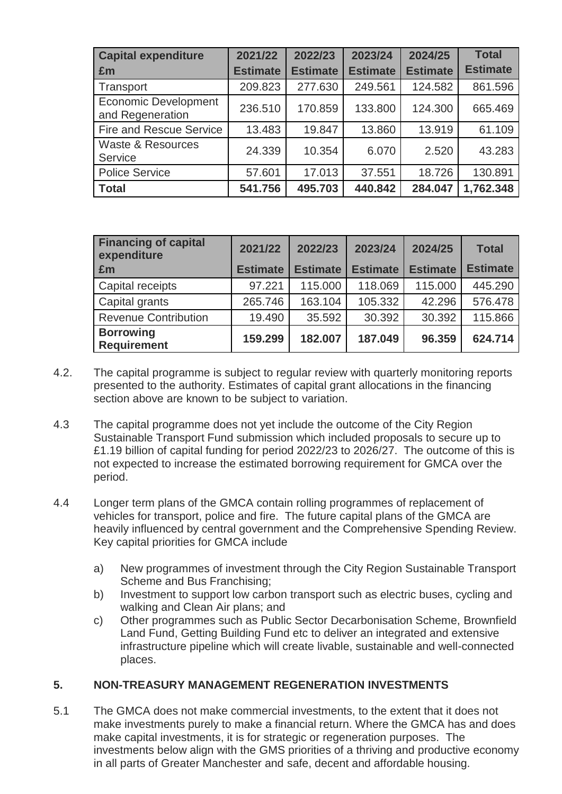| <b>Capital expenditure</b>                      | 2021/22         | 2022/23         | 2023/24         | 2024/25         | <b>Total</b>    |
|-------------------------------------------------|-----------------|-----------------|-----------------|-----------------|-----------------|
| £m                                              | <b>Estimate</b> | <b>Estimate</b> | <b>Estimate</b> | <b>Estimate</b> | <b>Estimate</b> |
| Transport                                       | 209.823         | 277.630         | 249.561         | 124.582         | 861.596         |
| <b>Economic Development</b><br>and Regeneration | 236.510         | 170.859         | 133.800         | 124.300         | 665.469         |
| <b>Fire and Rescue Service</b>                  | 13.483          | 19.847          | 13.860          | 13.919          | 61.109          |
| <b>Waste &amp; Resources</b><br>Service         | 24.339          | 10.354          | 6.070           | 2.520           | 43.283          |
| <b>Police Service</b>                           | 57.601          | 17.013          | 37.551          | 18.726          | 130.891         |
| <b>Total</b>                                    | 541.756         | 495.703         | 440.842         | 284.047         | 1,762.348       |

| <b>Financing of capital</b><br>expenditure | 2021/22         | 2022/23         | 2023/24         | 2024/25         | <b>Total</b>    |
|--------------------------------------------|-----------------|-----------------|-----------------|-----------------|-----------------|
| £m                                         | <b>Estimate</b> | <b>Estimate</b> | <b>Estimate</b> | <b>Estimate</b> | <b>Estimate</b> |
| Capital receipts                           | 97.221          | 115,000         | 118.069         | 115.000         | 445.290         |
| Capital grants                             | 265.746         | 163.104         | 105.332         | 42.296          | 576.478         |
| <b>Revenue Contribution</b>                | 19.490          | 35.592          | 30.392          | 30.392          | 115.866         |
| <b>Borrowing</b><br><b>Requirement</b>     | 159.299         | 182.007         | 187.049         | 96.359          | 624.714         |

- 4.2. The capital programme is subject to regular review with quarterly monitoring reports presented to the authority. Estimates of capital grant allocations in the financing section above are known to be subject to variation.
- 4.3 The capital programme does not yet include the outcome of the City Region Sustainable Transport Fund submission which included proposals to secure up to £1.19 billion of capital funding for period 2022/23 to 2026/27. The outcome of this is not expected to increase the estimated borrowing requirement for GMCA over the period.
- 4.4 Longer term plans of the GMCA contain rolling programmes of replacement of vehicles for transport, police and fire. The future capital plans of the GMCA are heavily influenced by central government and the Comprehensive Spending Review. Key capital priorities for GMCA include
	- a) New programmes of investment through the City Region Sustainable Transport Scheme and Bus Franchising;
	- b) Investment to support low carbon transport such as electric buses, cycling and walking and Clean Air plans; and
	- c) Other programmes such as Public Sector Decarbonisation Scheme, Brownfield Land Fund, Getting Building Fund etc to deliver an integrated and extensive infrastructure pipeline which will create livable, sustainable and well-connected places.

### **5. NON-TREASURY MANAGEMENT REGENERATION INVESTMENTS**

5.1 The GMCA does not make commercial investments, to the extent that it does not make investments purely to make a financial return. Where the GMCA has and does make capital investments, it is for strategic or regeneration purposes. The investments below align with the GMS priorities of a thriving and productive economy in all parts of Greater Manchester and safe, decent and affordable housing.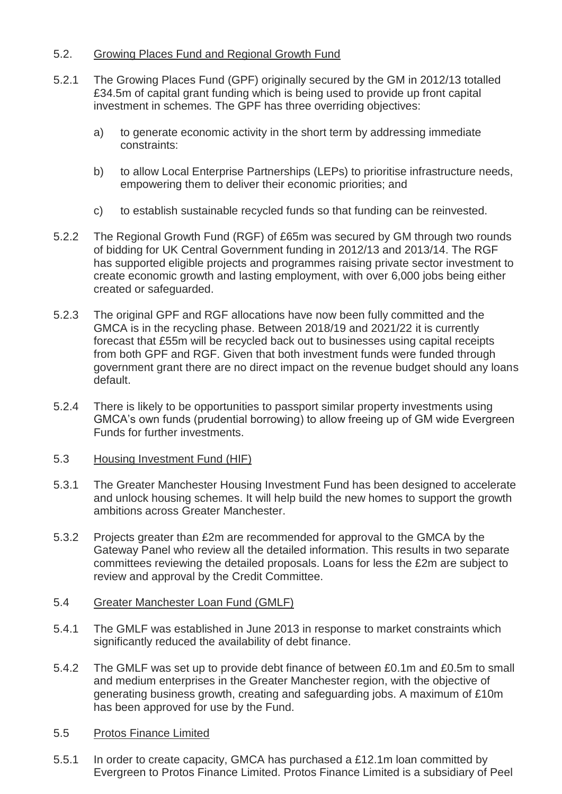### 5.2. Growing Places Fund and Regional Growth Fund

- 5.2.1 The Growing Places Fund (GPF) originally secured by the GM in 2012/13 totalled £34.5m of capital grant funding which is being used to provide up front capital investment in schemes. The GPF has three overriding objectives:
	- a) to generate economic activity in the short term by addressing immediate constraints:
	- b) to allow Local Enterprise Partnerships (LEPs) to prioritise infrastructure needs, empowering them to deliver their economic priorities; and
	- c) to establish sustainable recycled funds so that funding can be reinvested.
- 5.2.2 The Regional Growth Fund (RGF) of £65m was secured by GM through two rounds of bidding for UK Central Government funding in 2012/13 and 2013/14. The RGF has supported eligible projects and programmes raising private sector investment to create economic growth and lasting employment, with over 6,000 jobs being either created or safeguarded.
- 5.2.3 The original GPF and RGF allocations have now been fully committed and the GMCA is in the recycling phase. Between 2018/19 and 2021/22 it is currently forecast that £55m will be recycled back out to businesses using capital receipts from both GPF and RGF. Given that both investment funds were funded through government grant there are no direct impact on the revenue budget should any loans default.
- 5.2.4 There is likely to be opportunities to passport similar property investments using GMCA's own funds (prudential borrowing) to allow freeing up of GM wide Evergreen Funds for further investments.
- 5.3 Housing Investment Fund (HIF)
- 5.3.1 The Greater Manchester Housing Investment Fund has been designed to accelerate and unlock housing schemes. It will help build the new homes to support the growth ambitions across Greater Manchester.
- 5.3.2 Projects greater than £2m are recommended for approval to the GMCA by the Gateway Panel who review all the detailed information. This results in two separate committees reviewing the detailed proposals. Loans for less the £2m are subject to review and approval by the Credit Committee.
- 5.4 Greater Manchester Loan Fund (GMLF)
- 5.4.1 The GMLF was established in June 2013 in response to market constraints which significantly reduced the availability of debt finance.
- 5.4.2 The GMLF was set up to provide debt finance of between £0.1m and £0.5m to small and medium enterprises in the Greater Manchester region, with the objective of generating business growth, creating and safeguarding jobs. A maximum of £10m has been approved for use by the Fund.
- 5.5 Protos Finance Limited
- 5.5.1 In order to create capacity, GMCA has purchased a £12.1m loan committed by Evergreen to Protos Finance Limited. Protos Finance Limited is a subsidiary of Peel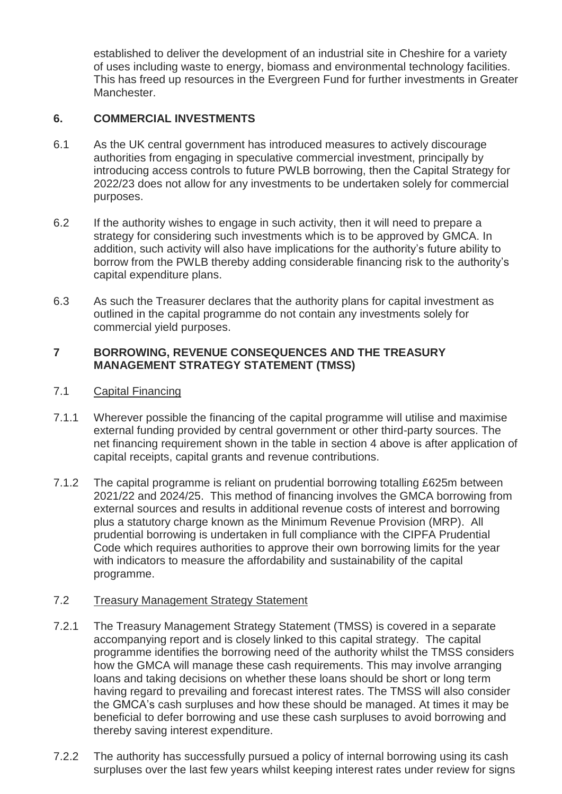established to deliver the development of an industrial site in Cheshire for a variety of uses including waste to energy, biomass and environmental technology facilities. This has freed up resources in the Evergreen Fund for further investments in Greater Manchester.

# **6. COMMERCIAL INVESTMENTS**

- 6.1 As the UK central government has introduced measures to actively discourage authorities from engaging in speculative commercial investment, principally by introducing access controls to future PWLB borrowing, then the Capital Strategy for 2022/23 does not allow for any investments to be undertaken solely for commercial purposes.
- 6.2 If the authority wishes to engage in such activity, then it will need to prepare a strategy for considering such investments which is to be approved by GMCA. In addition, such activity will also have implications for the authority's future ability to borrow from the PWLB thereby adding considerable financing risk to the authority's capital expenditure plans.
- 6.3 As such the Treasurer declares that the authority plans for capital investment as outlined in the capital programme do not contain any investments solely for commercial yield purposes.

### **7 BORROWING, REVENUE CONSEQUENCES AND THE TREASURY MANAGEMENT STRATEGY STATEMENT (TMSS)**

### 7.1 Capital Financing

- 7.1.1 Wherever possible the financing of the capital programme will utilise and maximise external funding provided by central government or other third-party sources. The net financing requirement shown in the table in section 4 above is after application of capital receipts, capital grants and revenue contributions.
- 7.1.2 The capital programme is reliant on prudential borrowing totalling £625m between 2021/22 and 2024/25. This method of financing involves the GMCA borrowing from external sources and results in additional revenue costs of interest and borrowing plus a statutory charge known as the Minimum Revenue Provision (MRP). All prudential borrowing is undertaken in full compliance with the CIPFA Prudential Code which requires authorities to approve their own borrowing limits for the year with indicators to measure the affordability and sustainability of the capital programme.

### 7.2 Treasury Management Strategy Statement

- 7.2.1 The Treasury Management Strategy Statement (TMSS) is covered in a separate accompanying report and is closely linked to this capital strategy. The capital programme identifies the borrowing need of the authority whilst the TMSS considers how the GMCA will manage these cash requirements. This may involve arranging loans and taking decisions on whether these loans should be short or long term having regard to prevailing and forecast interest rates. The TMSS will also consider the GMCA's cash surpluses and how these should be managed. At times it may be beneficial to defer borrowing and use these cash surpluses to avoid borrowing and thereby saving interest expenditure.
- 7.2.2 The authority has successfully pursued a policy of internal borrowing using its cash surpluses over the last few years whilst keeping interest rates under review for signs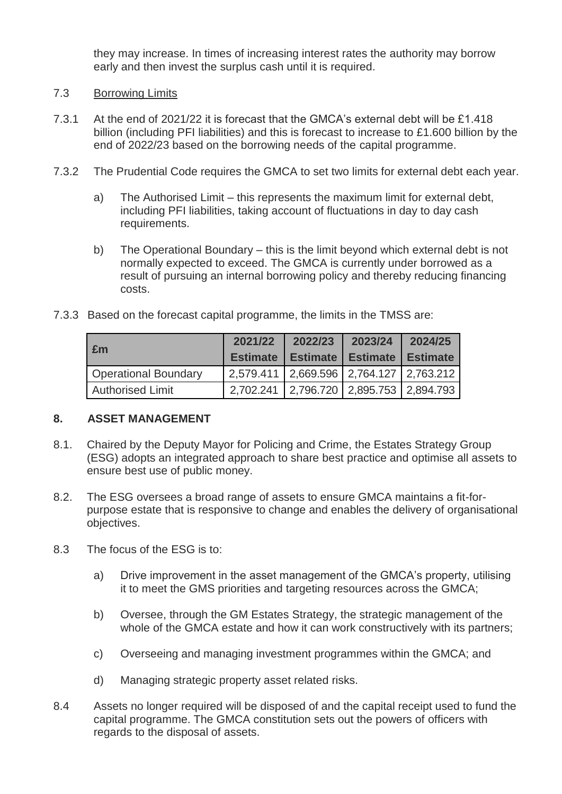they may increase. In times of increasing interest rates the authority may borrow early and then invest the surplus cash until it is required.

# 7.3 Borrowing Limits

- 7.3.1 At the end of 2021/22 it is forecast that the GMCA's external debt will be £1.418 billion (including PFI liabilities) and this is forecast to increase to £1.600 billion by the end of 2022/23 based on the borrowing needs of the capital programme.
- 7.3.2 The Prudential Code requires the GMCA to set two limits for external debt each year.
	- a) The Authorised Limit this represents the maximum limit for external debt, including PFI liabilities, taking account of fluctuations in day to day cash requirements.
	- b) The Operational Boundary this is the limit beyond which external debt is not normally expected to exceed. The GMCA is currently under borrowed as a result of pursuing an internal borrowing policy and thereby reducing financing costs.
- 7.3.3 Based on the forecast capital programme, the limits in the TMSS are:

| £m                          | 2021/22                                 | 2022/23                                          | 2023/24 | 2024/25 |
|-----------------------------|-----------------------------------------|--------------------------------------------------|---------|---------|
|                             |                                         | <b>Estimate   Estimate   Estimate   Estimate</b> |         |         |
| <b>Operational Boundary</b> | 2,579.411 2,669.596 2,764.127 2,763.212 |                                                  |         |         |
| <b>Authorised Limit</b>     | 2.702.241 2.796.720 2.895.753 2.894.793 |                                                  |         |         |

### **8. ASSET MANAGEMENT**

- 8.1. Chaired by the Deputy Mayor for Policing and Crime, the Estates Strategy Group (ESG) adopts an integrated approach to share best practice and optimise all assets to ensure best use of public money.
- 8.2. The ESG oversees a broad range of assets to ensure GMCA maintains a fit-forpurpose estate that is responsive to change and enables the delivery of organisational objectives.
- 8.3 The focus of the ESG is to:
	- a) Drive improvement in the asset management of the GMCA's property, utilising it to meet the GMS priorities and targeting resources across the GMCA;
	- b) Oversee, through the GM Estates Strategy, the strategic management of the whole of the GMCA estate and how it can work constructively with its partners;
	- c) Overseeing and managing investment programmes within the GMCA; and
	- d) Managing strategic property asset related risks.
- 8.4 Assets no longer required will be disposed of and the capital receipt used to fund the capital programme. The GMCA constitution sets out the powers of officers with regards to the disposal of assets.